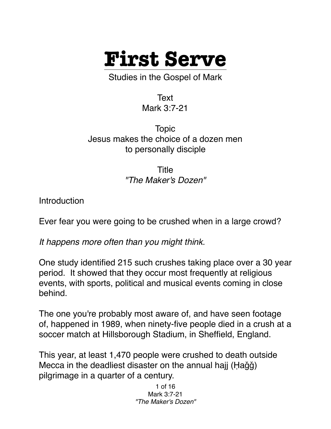

Studies in the Gospel of Mark

Text Mark 3:7-21

Topic Jesus makes the choice of a dozen men to personally disciple

> Title *"The Maker's Dozen"*

**Introduction** 

Ever fear you were going to be crushed when in a large crowd?

*It happens more often than you might think.*

One study identified 215 such crushes taking place over a 30 year period. It showed that they occur most frequently at religious events, with sports, political and musical events coming in close behind.

The one you're probably most aware of, and have seen footage of, happened in 1989, when ninety-five people died in a crush at a soccer match at Hillsborough Stadium, in Sheffield, England.

This year, at least 1,470 people were crushed to death outside Mecca in the deadliest disaster on the annual hajj (Ḥaǧǧ) pilgrimage in a quarter of a century.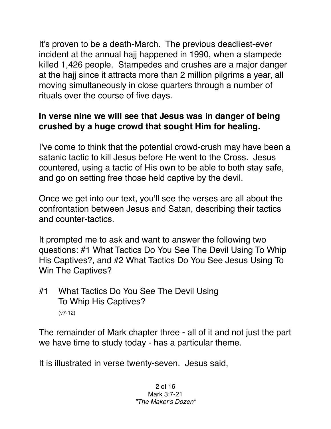It's proven to be a death-March. The previous deadliest-ever incident at the annual hajj happened in 1990, when a stampede killed 1,426 people. Stampedes and crushes are a major danger at the hajj since it attracts more than 2 million pilgrims a year, all moving simultaneously in close quarters through a number of rituals over the course of five days.

## **In verse nine we will see that Jesus was in danger of being crushed by a huge crowd that sought Him for healing.**

I've come to think that the potential crowd-crush may have been a satanic tactic to kill Jesus before He went to the Cross. Jesus countered, using a tactic of His own to be able to both stay safe, and go on setting free those held captive by the devil.

Once we get into our text, you'll see the verses are all about the confrontation between Jesus and Satan, describing their tactics and counter-tactics.

It prompted me to ask and want to answer the following two questions: #1 What Tactics Do You See The Devil Using To Whip His Captives?, and #2 What Tactics Do You See Jesus Using To Win The Captives?

#1 What Tactics Do You See The Devil Using To Whip His Captives? (v7-12)

The remainder of Mark chapter three - all of it and not just the part we have time to study today - has a particular theme.

It is illustrated in verse twenty-seven. Jesus said,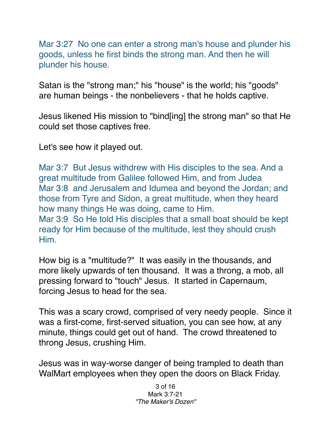Mar 3:27 No one can enter a strong man's house and plunder his goods, unless he first binds the strong man. And then he will plunder his house.

Satan is the "strong man;" his "house" is the world; his "goods" are human beings - the nonbelievers - that he holds captive.

Jesus likened His mission to "bind[ing] the strong man" so that He could set those captives free.

Let's see how it played out.

Mar 3:7 But Jesus withdrew with His disciples to the sea. And a great multitude from Galilee followed Him, and from Judea Mar 3:8 and Jerusalem and Idumea and beyond the Jordan; and those from Tyre and Sidon, a great multitude, when they heard how many things He was doing, came to Him. Mar 3:9 So He told His disciples that a small boat should be kept ready for Him because of the multitude, lest they should crush Him.

How big is a "multitude?" It was easily in the thousands, and more likely upwards of ten thousand. It was a throng, a mob, all pressing forward to "touch" Jesus. It started in Capernaum, forcing Jesus to head for the sea.

This was a scary crowd, comprised of very needy people. Since it was a first-come, first-served situation, you can see how, at any minute, things could get out of hand. The crowd threatened to throng Jesus, crushing Him.

Jesus was in way-worse danger of being trampled to death than WalMart employees when they open the doors on Black Friday.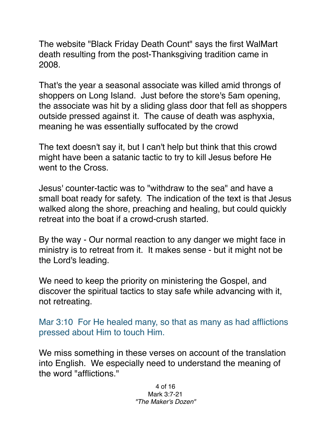The website "Black Friday Death Count" says the first WalMart death resulting from the post-Thanksgiving tradition came in 2008.

That's the year a seasonal associate was killed amid throngs of shoppers on Long Island. Just before the store's 5am opening, the associate was hit by a sliding glass door that fell as shoppers outside pressed against it. The cause of death was asphyxia, meaning he was essentially suffocated by the crowd

The text doesn't say it, but I can't help but think that this crowd might have been a satanic tactic to try to kill Jesus before He went to the Cross.

Jesus' counter-tactic was to "withdraw to the sea" and have a small boat ready for safety. The indication of the text is that Jesus walked along the shore, preaching and healing, but could quickly retreat into the boat if a crowd-crush started.

By the way - Our normal reaction to any danger we might face in ministry is to retreat from it. It makes sense - but it might not be the Lord's leading.

We need to keep the priority on ministering the Gospel, and discover the spiritual tactics to stay safe while advancing with it, not retreating.

Mar 3:10 For He healed many, so that as many as had afflictions pressed about Him to touch Him.

We miss something in these verses on account of the translation into English. We especially need to understand the meaning of the word "afflictions."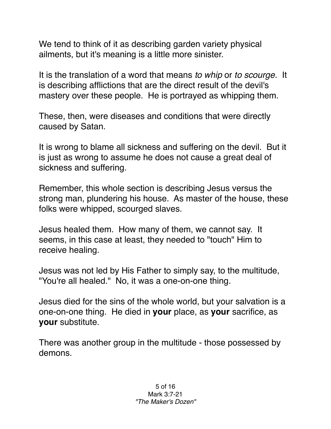We tend to think of it as describing garden variety physical ailments, but it's meaning is a little more sinister.

It is the translation of a word that means *to whip* or *to scourge*. It is describing afflictions that are the direct result of the devil's mastery over these people. He is portrayed as whipping them.

These, then, were diseases and conditions that were directly caused by Satan.

It is wrong to blame all sickness and suffering on the devil. But it is just as wrong to assume he does not cause a great deal of sickness and suffering.

Remember, this whole section is describing Jesus versus the strong man, plundering his house. As master of the house, these folks were whipped, scourged slaves.

Jesus healed them. How many of them, we cannot say. It seems, in this case at least, they needed to "touch" Him to receive healing.

Jesus was not led by His Father to simply say, to the multitude, "You're all healed." No, it was a one-on-one thing.

Jesus died for the sins of the whole world, but your salvation is a one-on-one thing. He died in **your** place, as **your** sacrifice, as **your** substitute.

There was another group in the multitude - those possessed by demons.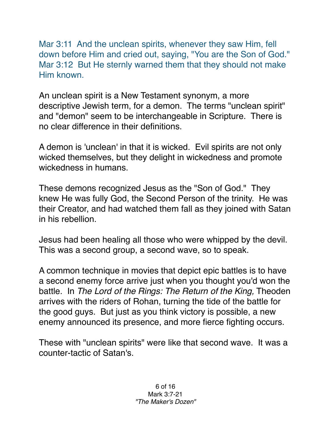Mar 3:11 And the unclean spirits, whenever they saw Him, fell down before Him and cried out, saying, "You are the Son of God." Mar 3:12 But He sternly warned them that they should not make Him known.

An unclean spirit is a New Testament synonym, a more descriptive Jewish term, for a demon. The terms "unclean spirit" and "demon" seem to be interchangeable in Scripture. There is no clear difference in their definitions.

A demon is 'unclean' in that it is wicked. Evil spirits are not only wicked themselves, but they delight in wickedness and promote wickedness in humans.

These demons recognized Jesus as the "Son of God." They knew He was fully God, the Second Person of the trinity. He was their Creator, and had watched them fall as they joined with Satan in his rebellion.

Jesus had been healing all those who were whipped by the devil. This was a second group, a second wave, so to speak.

A common technique in movies that depict epic battles is to have a second enemy force arrive just when you thought you'd won the battle. In *The Lord of the Rings: The Return of the King,* Theoden arrives with the riders of Rohan, turning the tide of the battle for the good guys. But just as you think victory is possible, a new enemy announced its presence, and more fierce fighting occurs.

These with "unclean spirits" were like that second wave. It was a counter-tactic of Satan's.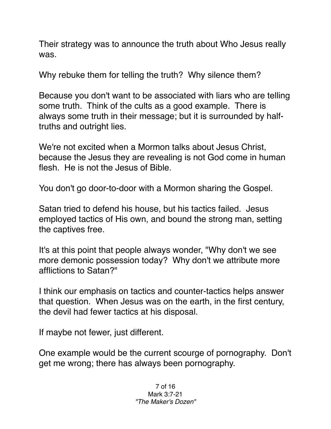Their strategy was to announce the truth about Who Jesus really was.

Why rebuke them for telling the truth? Why silence them?

Because you don't want to be associated with liars who are telling some truth. Think of the cults as a good example. There is always some truth in their message; but it is surrounded by halftruths and outright lies.

We're not excited when a Mormon talks about Jesus Christ. because the Jesus they are revealing is not God come in human flesh. He is not the Jesus of Bible.

You don't go door-to-door with a Mormon sharing the Gospel.

Satan tried to defend his house, but his tactics failed. Jesus employed tactics of His own, and bound the strong man, setting the captives free.

It's at this point that people always wonder, "Why don't we see more demonic possession today? Why don't we attribute more afflictions to Satan?"

I think our emphasis on tactics and counter-tactics helps answer that question. When Jesus was on the earth, in the first century, the devil had fewer tactics at his disposal.

If maybe not fewer, just different.

One example would be the current scourge of pornography. Don't get me wrong; there has always been pornography.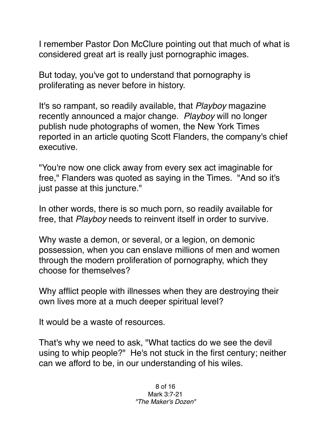I remember Pastor Don McClure pointing out that much of what is considered great art is really just pornographic images.

But today, you've got to understand that pornography is proliferating as never before in history.

It's so rampant, so readily available, that *Playboy* magazine recently announced a major change. *Playboy* will no longer publish nude photographs of women, the New York Times reported in an article quoting Scott Flanders, the company's chief executive.

"You're now one click away from every sex act imaginable for free," Flanders was quoted as saying in the Times. "And so it's just passe at this juncture."

In other words, there is so much porn, so readily available for free, that *Playboy* needs to reinvent itself in order to survive.

Why waste a demon, or several, or a legion, on demonic possession, when you can enslave millions of men and women through the modern proliferation of pornography, which they choose for themselves?

Why afflict people with illnesses when they are destroying their own lives more at a much deeper spiritual level?

It would be a waste of resources.

That's why we need to ask, "What tactics do we see the devil using to whip people?" He's not stuck in the first century; neither can we afford to be, in our understanding of his wiles.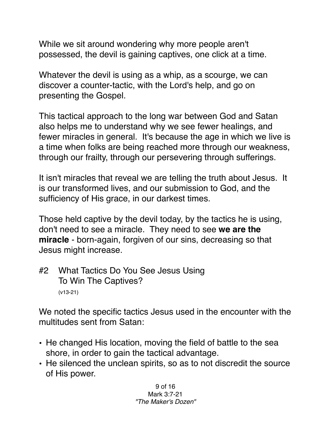While we sit around wondering why more people aren't possessed, the devil is gaining captives, one click at a time.

Whatever the devil is using as a whip, as a scourge, we can discover a counter-tactic, with the Lord's help, and go on presenting the Gospel.

This tactical approach to the long war between God and Satan also helps me to understand why we see fewer healings, and fewer miracles in general. It's because the age in which we live is a time when folks are being reached more through our weakness, through our frailty, through our persevering through sufferings.

It isn't miracles that reveal we are telling the truth about Jesus. It is our transformed lives, and our submission to God, and the sufficiency of His grace, in our darkest times.

Those held captive by the devil today, by the tactics he is using, don't need to see a miracle. They need to see **we are the miracle** - born-again, forgiven of our sins, decreasing so that Jesus might increase.

#2 What Tactics Do You See Jesus Using To Win The Captives? (v13-21)

We noted the specific tactics Jesus used in the encounter with the multitudes sent from Satan:

- He changed His location, moving the field of battle to the sea shore, in order to gain the tactical advantage.
- He silenced the unclean spirits, so as to not discredit the source of His power.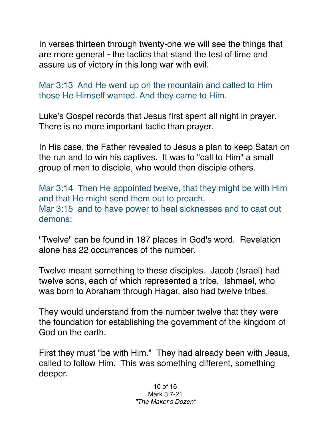In verses thirteen through twenty-one we will see the things that are more general - the tactics that stand the test of time and assure us of victory in this long war with evil.

Mar 3:13 And He went up on the mountain and called to Him those He Himself wanted. And they came to Him.

Luke's Gospel records that Jesus first spent all night in prayer. There is no more important tactic than prayer.

In His case, the Father revealed to Jesus a plan to keep Satan on the run and to win his captives. It was to "call to Him" a small group of men to disciple, who would then disciple others.

Mar 3:14 Then He appointed twelve, that they might be with Him and that He might send them out to preach, Mar 3:15 and to have power to heal sicknesses and to cast out demons:

"Twelve" can be found in 187 places in God's word. Revelation alone has 22 occurrences of the number.

Twelve meant something to these disciples. Jacob (Israel) had twelve sons, each of which represented a tribe. Ishmael, who was born to Abraham through Hagar, also had twelve tribes.

They would understand from the number twelve that they were the foundation for establishing the government of the kingdom of God on the earth.

First they must "be with Him." They had already been with Jesus, called to follow Him. This was something different, something deeper.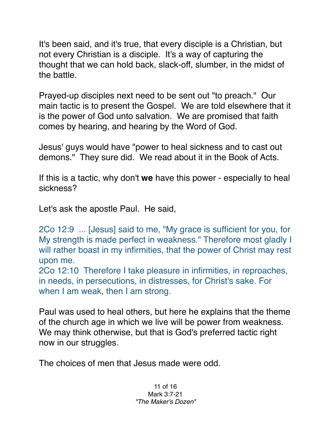It's been said, and it's true, that every disciple is a Christian, but not every Christian is a disciple. It's a way of capturing the thought that we can hold back, slack-off, slumber, in the midst of the battle.

Prayed-up disciples next need to be sent out "to preach." Our main tactic is to present the Gospel. We are told elsewhere that it is the power of God unto salvation. We are promised that faith comes by hearing, and hearing by the Word of God.

Jesus' guys would have "power to heal sickness and to cast out demons." They sure did. We read about it in the Book of Acts.

If this is a tactic, why don't **we** have this power - especially to heal sickness?

Let's ask the apostle Paul. He said,

2Co 12:9 ... [Jesus] said to me, "My grace is sufficient for you, for My strength is made perfect in weakness." Therefore most gladly I will rather boast in my infirmities, that the power of Christ may rest upon me.

2Co 12:10 Therefore I take pleasure in infirmities, in reproaches, in needs, in persecutions, in distresses, for Christ's sake. For when I am weak, then I am strong.

Paul was used to heal others, but here he explains that the theme of the church age in which we live will be power from weakness. We may think otherwise, but that is God's preferred tactic right now in our struggles.

The choices of men that Jesus made were odd.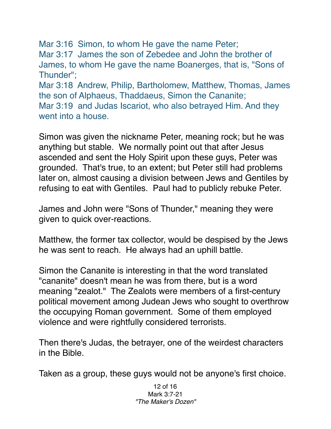Mar 3:16 Simon, to whom He gave the name Peter; Mar 3:17 James the son of Zebedee and John the brother of James, to whom He gave the name Boanerges, that is, "Sons of Thunder"; Mar 3:18 Andrew, Philip, Bartholomew, Matthew, Thomas, James the son of Alphaeus, Thaddaeus, Simon the Cananite; Mar 3:19 and Judas Iscariot, who also betrayed Him. And they went into a house.

Simon was given the nickname Peter, meaning rock; but he was anything but stable. We normally point out that after Jesus ascended and sent the Holy Spirit upon these guys, Peter was grounded. That's true, to an extent; but Peter still had problems later on, almost causing a division between Jews and Gentiles by refusing to eat with Gentiles. Paul had to publicly rebuke Peter.

James and John were "Sons of Thunder," meaning they were given to quick over-reactions.

Matthew, the former tax collector, would be despised by the Jews he was sent to reach. He always had an uphill battle.

Simon the Cananite is interesting in that the word translated "cananite" doesn't mean he was from there, but is a word meaning "zealot." The Zealots were members of a first-century political movement among Judean Jews who sought to overthrow the occupying Roman government. Some of them employed violence and were rightfully considered terrorists.

Then there's Judas, the betrayer, one of the weirdest characters in the Bible.

Taken as a group, these guys would not be anyone's first choice.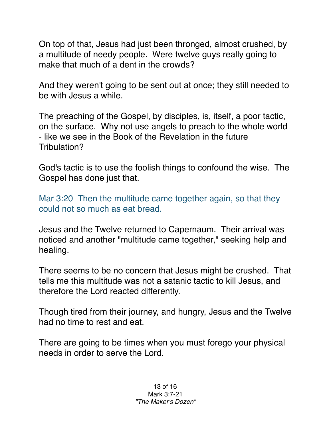On top of that, Jesus had just been thronged, almost crushed, by a multitude of needy people. Were twelve guys really going to make that much of a dent in the crowds?

And they weren't going to be sent out at once; they still needed to be with Jesus a while.

The preaching of the Gospel, by disciples, is, itself, a poor tactic, on the surface. Why not use angels to preach to the whole world - like we see in the Book of the Revelation in the future Tribulation?

God's tactic is to use the foolish things to confound the wise. The Gospel has done just that.

Mar 3:20 Then the multitude came together again, so that they could not so much as eat bread.

Jesus and the Twelve returned to Capernaum. Their arrival was noticed and another "multitude came together," seeking help and healing.

There seems to be no concern that Jesus might be crushed. That tells me this multitude was not a satanic tactic to kill Jesus, and therefore the Lord reacted differently.

Though tired from their journey, and hungry, Jesus and the Twelve had no time to rest and eat.

There are going to be times when you must forego your physical needs in order to serve the Lord.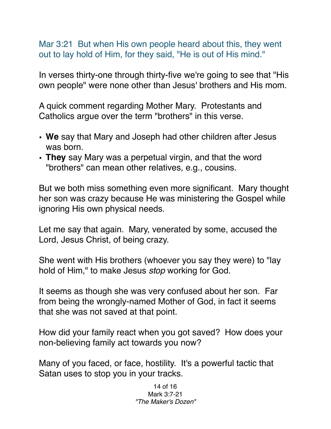Mar 3:21 But when His own people heard about this, they went out to lay hold of Him, for they said, "He is out of His mind."

In verses thirty-one through thirty-five we're going to see that "His own people" were none other than Jesus' brothers and His mom.

A quick comment regarding Mother Mary. Protestants and Catholics argue over the term "brothers" in this verse.

- **We** say that Mary and Joseph had other children after Jesus was born.
- **They** say Mary was a perpetual virgin, and that the word "brothers" can mean other relatives, e.g., cousins.

But we both miss something even more significant. Mary thought her son was crazy because He was ministering the Gospel while ignoring His own physical needs.

Let me say that again. Mary, venerated by some, accused the Lord, Jesus Christ, of being crazy.

She went with His brothers (whoever you say they were) to "lay hold of Him," to make Jesus *stop* working for God.

It seems as though she was very confused about her son. Far from being the wrongly-named Mother of God, in fact it seems that she was not saved at that point.

How did your family react when you got saved? How does your non-believing family act towards you now?

Many of you faced, or face, hostility. It's a powerful tactic that Satan uses to stop you in your tracks.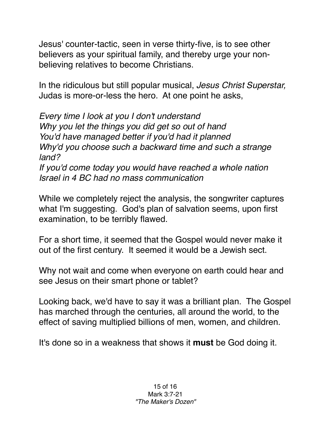Jesus' counter-tactic, seen in verse thirty-five, is to see other believers as your spiritual family, and thereby urge your nonbelieving relatives to become Christians.

In the ridiculous but still popular musical, *Jesus Christ Superstar,* Judas is more-or-less the hero. At one point he asks,

*Every time I look at you I don't understand Why you let the things you did get so out of hand You'd have managed better if you'd had it planned Why'd you choose such a backward time and such a strange land? If you'd come today you would have reached a whole nation Israel in 4 BC had no mass communication*

While we completely reject the analysis, the songwriter captures what I'm suggesting. God's plan of salvation seems, upon first examination, to be terribly flawed.

For a short time, it seemed that the Gospel would never make it out of the first century. It seemed it would be a Jewish sect.

Why not wait and come when everyone on earth could hear and see Jesus on their smart phone or tablet?

Looking back, we'd have to say it was a brilliant plan. The Gospel has marched through the centuries, all around the world, to the effect of saving multiplied billions of men, women, and children.

It's done so in a weakness that shows it **must** be God doing it.